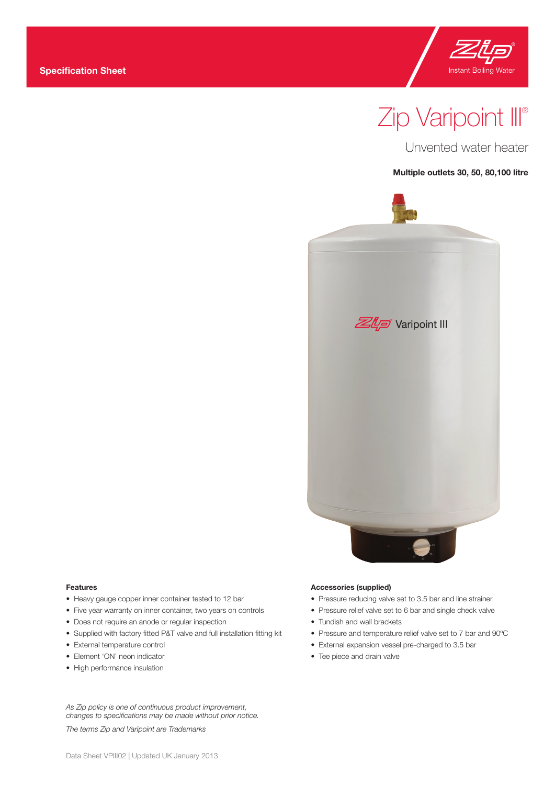

# Zip Varipoint III®

Unvented water heater

**Multiple outlets 30, 50, 80,100 litre**



#### **Features**

- Heavy gauge copper inner container tested to 12 bar
- Five year warranty on inner container, two years on controls
- Does not require an anode or regular inspection
- Supplied with factory fitted P&T valve and full installation fitting kit
- External temperature control
- Element 'ON' neon indicator
- High performance insulation

*As Zip policy is one of continuous product improvement, changes to specifications may be made without prior notice.*

*The terms Zip and Varipoint are Trademarks*

#### **Accessories (supplied)**

- Pressure reducing valve set to 3.5 bar and line strainer
- Pressure relief valve set to 6 bar and single check valve
- Tundish and wall brackets
- Pressure and temperature relief valve set to 7 bar and 90ºC
- External expansion vessel pre-charged to 3.5 bar
- Tee piece and drain valve